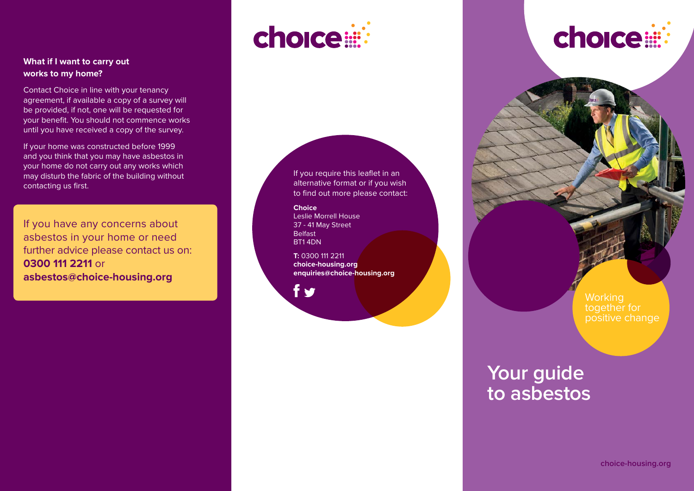#### **What if I want to carry out works to my home?**

Contact Choice in line with your tenancy agreement, if available a copy of a survey will be provided, if not, one will be requested for your benefit. You should not commence works until you have received a copy of the survey.

If your home was constructed before 1999 and you think that you may have asbestos in your home do not carry out any works which may disturb the fabric of the building without contacting us first.

If you have any concerns about asbestos in your home or need further advice please contact us on: **0300 111 2211** or **asbestos@choice-housing.org**

# choice:

If you require this leaflet in an alternative format or if you wish to find out more please contact:

**Choice** Leslie Morrell House 37 - 41 May Street Belfast BT1 4DN

**T:** 0300 111 2211 **choice-housing.org enquiries@choice-housing.org**

f o



**Working** together for positive change

# **Your guide to asbestos**